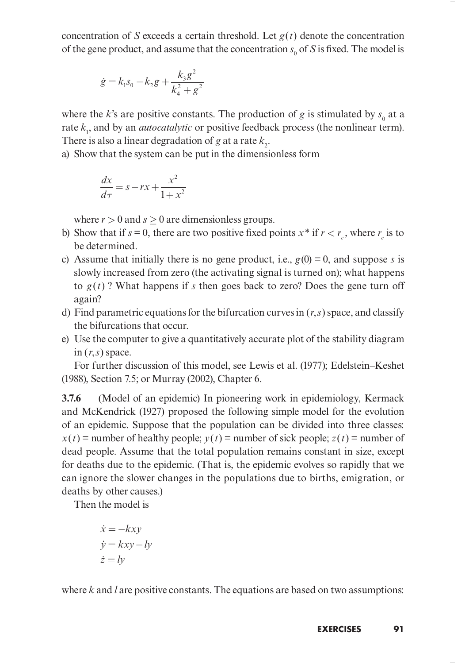concentration of S exceeds a certain threshold. Let  $g(t)$  denote the concentration of the gene product, and assume that the concentration  $s_0$  of S is fixed. The model is tion of *S* exceeds a certain threshold. Let  $g(t)$  derive product, and assume that the concentration  $s_0$  of *S*<br>  $\dot{g} = k_1 s_0 - k_2 g + \frac{k_3 g^2}{k_4^2 + g^2}$ on of *S* exceeds a certain threshold. Let  $g(t)$  denot<br>product, and assume that the concentration  $s_0$  of *S* is<br> $= k_1 s_0 - k_2 g + \frac{k_3 g^2}{k_4^2 + g^2}$ <br>k's are positive constants. The production of *g* is s of S exceeds a certain threshold. Let<br>duct, and assume that the concentration<br> $k_1 s_0 - k_2 g + \frac{k_3 g^2}{k_4^2 + g^2}$ a certain threshold. Let  $g(t)$  denote<br>ume that the concentration  $s_0$  of S is<br> $\frac{k_3 g^2}{a^2 + g^2}$ 

$$
\dot{g} = k_1 s_0 - k_2 g + \frac{k_3 g^2}{k_4^2 + g^2}
$$

where the k's are positive constants. The production of g is stimulated by  $s_0$  at a rate  $k_1$ , and by an *autocatalytic* or positive feedback process (the nonlinear term). There is also a linear degradation of g at a rate  $k_2$ .  $k_4 + g$ <br>
s are positive constants. The production<br>
by an *autocatalytic* or positive feedback<br>
a linear degradation of g at a rate  $k_2$ .<br>  $k_1$  the system can be put in the dimension<br>  $= s - rx + \frac{x^2}{1 + x^2}$ 

a) Show that the system can be put in the dimensionless form

$$
\frac{dx}{d\tau} = s - rx + \frac{x^2}{1 + x^2}
$$

where  $r > 0$  and  $s > 0$  are dimensionless groups.

- b) Show that if  $s = 0$ , there are two positive fixed points  $x^*$  if  $r < r_c$ , where  $r_c$  is to be determined.
- c) Assume that initially there is no gene product, i.e.,  $g(0) = 0$ , and suppose s is slowly increased from zero (the activating signal is turned on); what happens to  $g(t)$ ? What happens if s then goes back to zero? Does the gene turn off again?
- d) Find parametric equations for the bifurcation curves in  $(r, s)$  space, and classify the bifurcations that occur.
- e) Use the computer to give a quantitatively accurate plot of the stability diagram in  $(r, s)$  space.

For further discussion of this model, see Lewis et al. (1977); Edelstein–Keshet (1988), Section 7.5; or Murray (2002), Chapter 6.

3.7.6 (Model of an epidemic) In pioneering work in epidemiology, Kermack and McKendrick (1927) proposed the following simple model for the evolution of an epidemic. Suppose that the population can be divided into three classes:  $x(t)$  = number of healthy people;  $y(t)$  = number of sick people;  $z(t)$  = number of dead people. Assume that the total population remains constant in size, except for deaths due to the epidemic. (That is, the epidemic evolves so rapidly that we can ignore the slower changes in the populations due to births, emigration, or deaths by other causes.) umber of healthy people;  $y(t) =$  num<br>pple. Assume that the total populat<br>s due to the epidemic. (That is, the<br>re the slower changes in the popula<br>y other causes.)<br>the model is<br> $\dot{x} = -kxy$ <br> $\dot{y} = kxy - ly$ ple. Assume that the total population r<br>s due to the epidemic. (That is, the epid<br>re the slower changes in the population<br>y other causes.)<br>the model is<br> $\dot{x} = -kxy$ <br> $\dot{y} = kxy - ly$ <br> $\dot{z} = ly$ umber of healthy people;  $y(t) =$  nu<br>pple. Assume that the total popul:<br>s due to the epidemic. (That is, there the slower changes in the populy<br>other causes.)<br>the model is<br> $\dot{x} = -kxy$ <br> $\dot{y} = kxy - ly$ <br> $\dot{z} = ly$ le. Assume that the total population<br>due to the epidemic. (That is, the ep<br>the slower changes in the population<br>other causes.)<br>e model is<br> $= -kxy$ <br> $=kxy - ly$ <br> $= ly$ 

Then the model is

$$
\begin{aligned}\n\dot{x} &= -kxy\\ \n\dot{y} &= kxy - ly\\ \n\dot{z} &= ly\n\end{aligned}
$$

where  $k$  and  $l$  are positive constants. The equations are based on two assumptions: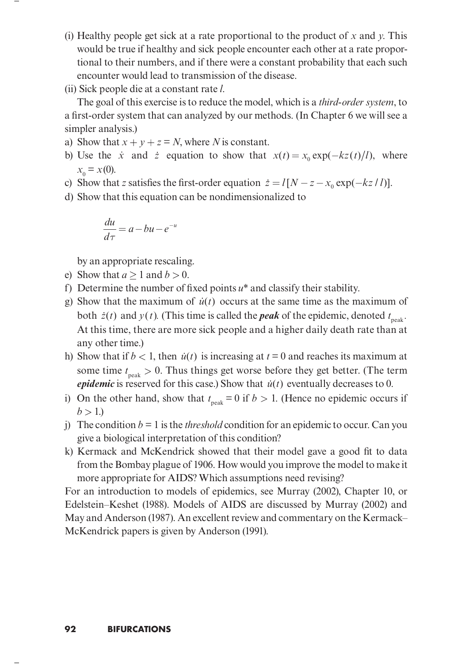- (i) Healthy people get sick at a rate proportional to the product of x and y. This would be true if healthy and sick people encounter each other at a rate proportional to their numbers, and if there were a constant probability that each such encounter would lead to transmission of the disease.
- (ii) Sick people die at a constant rate l.

The goal of this exercise is to reduce the model, which is a *third-order system*, to a first-order system that can analyzed by our methods. (In Chapter 6 we will see a simpler analysis.) tional to their numbers, and if there were a constant probability that each such<br>encounter would lead to transmission of the disease.<br>(ii) Sick people die at a constant rate *l*.<br>The goal of this exercise is to reduce the (ii) Sick people die at a constant rate *l*.<br>
The goal of this exercise is to reduce the model, which is a *third-order system*, to<br>
a first-order system that can analyzed by our methods. (In Chapter 6 we will see a<br>
simp

- a) Show that  $x + y + z = N$ , where N is constant.
- b) Use the  $\dot{x}$  and  $\dot{z}$  equation to show that  $x(t) = x_0 \exp(-kz(t)/l)$ , where  $x_0 = x(0)$ .  $(x + y + z = N$ , where *N* is constant.<br>  $\dot{x}$  and  $\dot{z}$  equation to show that  $x(t)$ <br>  $z$  satisfies the first-order equation  $\dot{z} = l$ <br>  $z = a - bu - e^{-u}$
- 
- d) Show that this equation can be nondimensionalized to

$$
\frac{du}{d\tau} = a - bu - e^{-u}
$$

by an appropriate rescaling.

- e) Show that  $a > 1$  and  $b > 0$ .
- f) Determine the number of fixed points  $u^*$  and classify their stability.
- $\frac{du}{d\tau} = a bu e^{-u}$ <br>by an appropriate rescaling.<br>e) Show that  $a \ge 1$  and  $b > 0$ .<br>f) Determine the number of fixed points  $u^*$  and classify their stability.<br>g) Show that the maximum of  $\dot{u}(t)$  occurs at the same time by an appropriate rescaling.<br>
Show that  $a \ge 1$  and  $b > 0$ .<br>
Determine the number of fixed points  $u^*$  and classify their stability.<br>
Show that the maximum of  $\dot{u}(t)$  occurs at the same time as the maximum of<br>
both  $\dot$ any other time.) by an appropriate rescaing.<br>
e) Show that  $a \ge 1$  and  $b > 0$ .<br>
f) Determine the number of fixed points  $u^*$  and classify their stability.<br>
g) Show that the maximum of  $\dot{u}(t)$  occurs at the same time as the maximum of<br> Determine the number of fixed points u<sup>2</sup> and classify their stability.<br>Show that the maximum of  $\dot{u}(t)$  occurs at the same time as the maximum of<br>both  $\dot{z}(t)$  and  $y(t)$ . (This time is called the *peak* of the epide
- some time  $t_{\text{peak}} > 0$ . Thus things get worse before they get better. (The term
- i) On the other hand, show that  $t_{peak} = 0$  if  $b > 1$ . (Hence no epidemic occurs if  $b > 1.$
- j) The condition  $b = 1$  is the *threshold* condition for an epidemic to occur. Can you give a biological interpretation of this condition?
- k) Kermack and McKendrick showed that their model gave a good fit to data from the Bombay plague of 1906. How would you improve the model to make it more appropriate for AIDS? Which assumptions need revising?

For an introduction to models of epidemics, see Murray (2002), Chapter 10, or Edelstein–Keshet (1988). Models of AIDS are discussed by Murray (2002) and May and Anderson (1987). An excellent review and commentary on the Kermack– McKendrick papers is given by Anderson (1991).